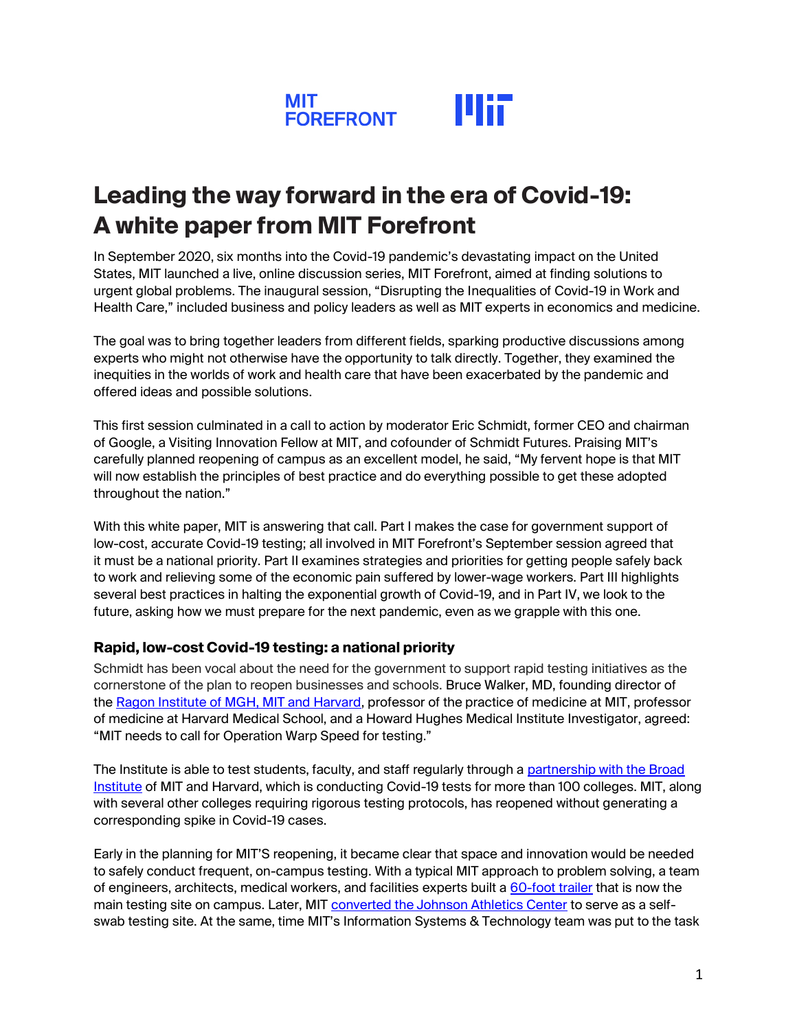

# **Leading the way forward in the era of Covid-19: A white paper from MIT Forefront**

In September 2020, six months into the Covid-19 pandemic's devastating impact on the United States, MIT launched a live, online discussion series, MIT Forefront, aimed at finding solutions to urgent global problems. The inaugural session, "Disrupting the Inequalities of Covid-19 in Work and Health Care," included business and policy leaders as well as MIT experts in economics and medicine.

The goal was to bring together leaders from different fields, sparking productive discussions among experts who might not otherwise have the opportunity to talk directly. Together, they examined the inequities in the worlds of work and health care that have been exacerbated by the pandemic and offered ideas and possible solutions.

This first session culminated in a call to action by moderator Eric Schmidt, former CEO and chairman of Google, a Visiting Innovation Fellow at MIT, and cofounder of Schmidt Futures. Praising MIT's carefully planned reopening of campus as an excellent model, he said, "My fervent hope is that MIT will now establish the principles of best practice and do everything possible to get these adopted throughout the nation."

With this white paper, MIT is answering that call. Part I makes the case for government support of low-cost, accurate Covid-19 testing; all involved in MIT Forefront's September session agreed that it must be a national priority. Part II examines strategies and priorities for getting people safely back to work and relieving some of the economic pain suffered by lower-wage workers. Part III highlights several best practices in halting the exponential growth of Covid-19, and in Part IV, we look to the future, asking how we must prepare for the next pandemic, even as we grapple with this one.

# **Rapid, low-cost Covid-19 testing: a national priority**

Schmidt has been vocal about the need for the government to support rapid testing initiatives as the cornerstone of the plan to reopen businesses and schools. Bruce Walker, MD, founding director of the [Ragon Institute of MGH, MIT and Harvard,](https://www.ragoninstitute.org/) professor of the practice of medicine at MIT, professor of medicine at Harvard Medical School, and a Howard Hughes Medical Institute Investigator, agreed: "MIT needs to call for Operation Warp Speed for testing."

The Institute is able to test students, faculty, and staff regularly through a partnership with the Broad [Institute](https://www.broadinstitute.org/news/broad-institute-provides-covid-19-screening-students-faculty-and-staff-more-100-colleges-and) of MIT and Harvard, which is conducting Covid-19 tests for more than 100 colleges. MIT, along with several other colleges requiring rigorous testing protocols, has reopened without generating a corresponding spike in Covid-19 cases.

Early in the planning for MIT'S reopening, it became clear that space and innovation would be needed to safely conduct frequent, on-campus testing. With a typical MIT approach to problem solving, a team of engineers, architects, medical workers, and facilities experts built a [60-foot trailer](https://news.mit.edu/2020/covid-19-testing-trailer-0813) that is now the main testing site on campus. Later, MIT [converted the Johnson Athletics Center](https://thetech.com/2020/09/24/johnson-covid-testing-center) to serve as a selfswab testing site. At the same, time MIT's Information Systems & Technology team was put to the task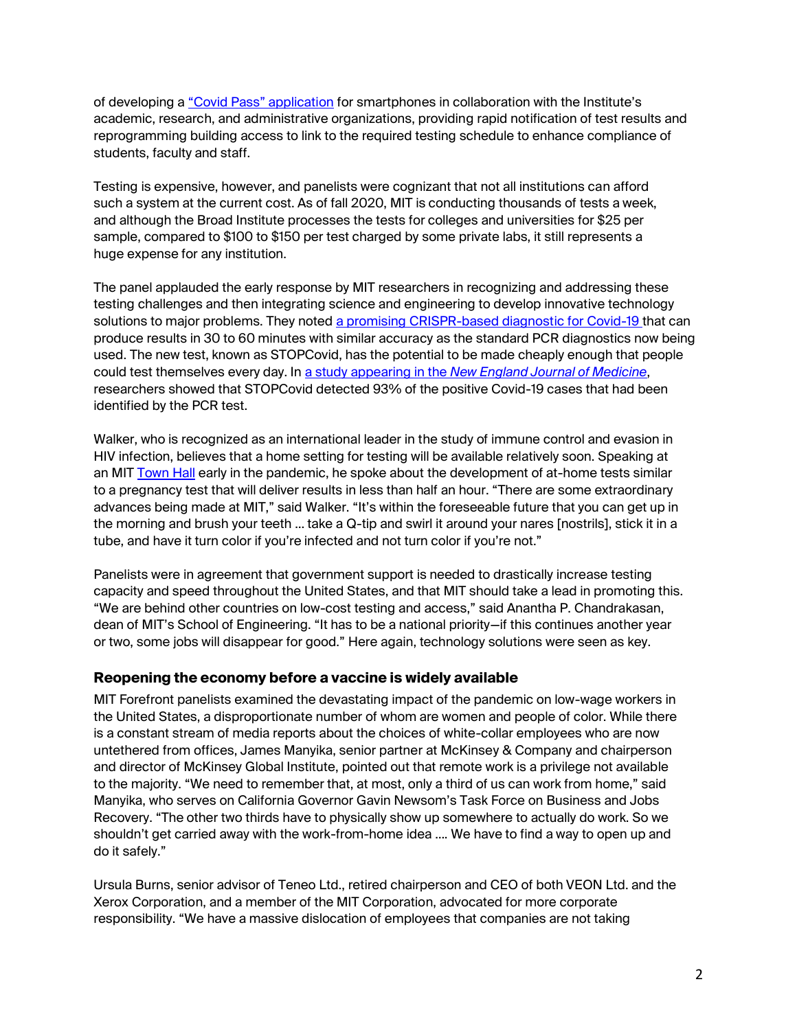of developing a ["Covid Pass" application](https://covidapps.mit.edu/covid-pass) for smartphones in collaboration with the Institute's academic, research, and administrative organizations, providing rapid notification of test results and reprogramming building access to link to the required testing schedule to enhance compliance of students, faculty and staff.

Testing is expensive, however, and panelists were cognizant that not all institutions can afford such a system at the current cost. As of fall 2020, MIT is conducting thousands of tests a week, and although the Broad Institute processes the tests for colleges and universities for \$25 per sample, compared to \$100 to \$150 per test charged by some private labs, it still represents a huge expense for any institution.

The panel applauded the early response by MIT researchers in recognizing and addressing these testing challenges and then integrating science and engineering to develop innovative technology solutions to major problems. They noted a promising [CRISPR-based diagnostic for Covid-19](https://news.mit.edu/2020/rapid-covid-19-test-0917) that can produce results in 30 to 60 minutes with similar accuracy as the standard PCR diagnostics now being used. The new test, known as STOPCovid, has the potential to be made cheaply enough that people could test themselves every day. In a study appearing in the *[New England Journal of Medicine](https://www.nejm.org/doi/full/10.1056/NEJMc2026172)*, researchers showed that STOPCovid detected 93% of the positive Covid-19 cases that had been identified by the PCR test.

Walker, who is recognized as an international leader in the study of immune control and evasion in HIV infection, believes that a home setting for testing will be available relatively soon. Speaking at an MIT [Town Hall](https://news.mit.edu/2020/second-virtual-town-hall-0507) early in the pandemic, he spoke about the development of at-home tests similar to a pregnancy test that will deliver results in less than half an hour. "There are some extraordinary advances being made at MIT," said Walker. "It's within the foreseeable future that you can get up in the morning and brush your teeth … take a Q-tip and swirl it around your nares [nostrils], stick it in a tube, and have it turn color if you're infected and not turn color if you're not."

Panelists were in agreement that government support is needed to drastically increase testing capacity and speed throughout the United States, and that MIT should take a lead in promoting this. "We are behind other countries on low-cost testing and access," said Anantha P. Chandrakasan, dean of MIT's School of Engineering. "It has to be a national priority—if this continues another year or two, some jobs will disappear for good." Here again, technology solutions were seen as key.

#### **Reopening the economy before a vaccine is widely available**

MIT Forefront panelists examined the devastating impact of the pandemic on low-wage workers in the United States, a disproportionate number of whom are women and people of color. While there is a constant stream of media reports about the choices of white-collar employees who are now untethered from offices, James Manyika, senior partner at McKinsey & Company and chairperson and director of McKinsey Global Institute, pointed out that remote work is a privilege not available to the majority. "We need to remember that, at most, only a third of us can work from home," said Manyika, who serves on California Governor Gavin Newsom's Task Force on Business and Jobs Recovery. "The other two thirds have to physically show up somewhere to actually do work. So we shouldn't get carried away with the work-from-home idea …. We have to find a way to open up and do it safely."

Ursula Burns, senior advisor of Teneo Ltd., retired chairperson and CEO of both VEON Ltd. and the Xerox Corporation, and a member of the MIT Corporation, advocated for more corporate responsibility. "We have a massive dislocation of employees that companies are not taking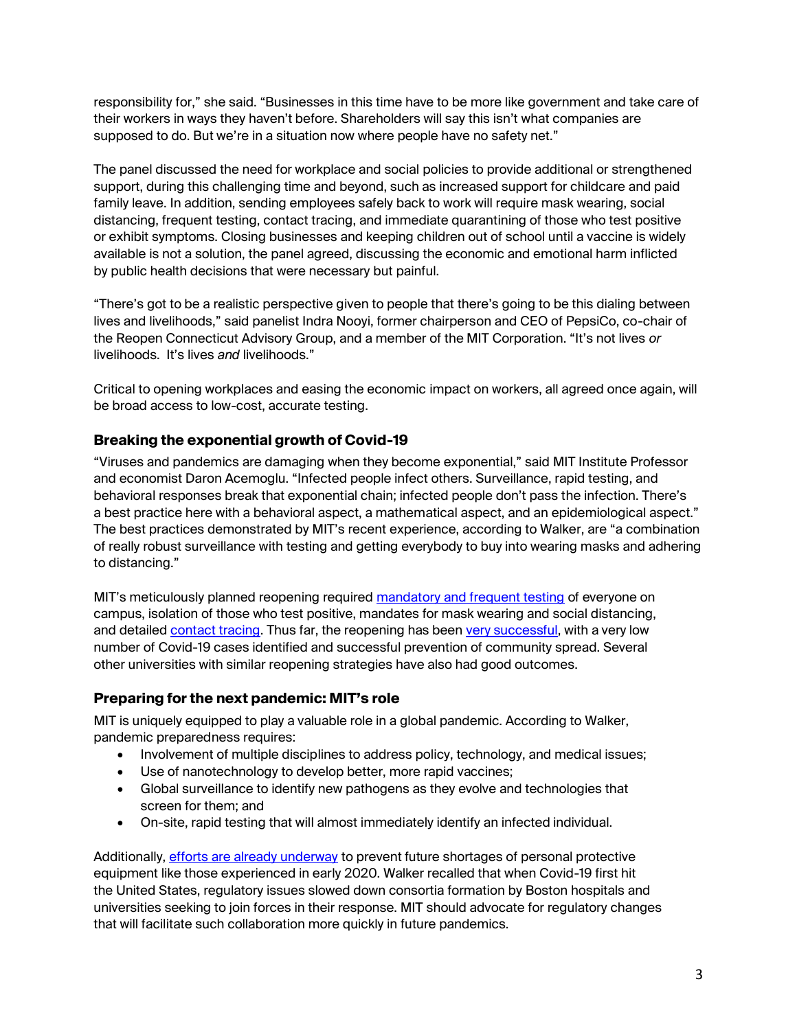responsibility for," she said. "Businesses in this time have to be more like government and take care of their workers in ways they haven't before. Shareholders will say this isn't what companies are supposed to do. But we're in a situation now where people have no safety net."

The panel discussed the need for workplace and social policies to provide additional or strengthened support, during this challenging time and beyond, such as increased support for childcare and paid family leave. In addition, sending employees safely back to work will require mask wearing, social distancing, frequent testing, contact tracing, and immediate quarantining of those who test positive or exhibit symptoms. Closing businesses and keeping children out of school until a vaccine is widely available is not a solution, the panel agreed, discussing the economic and emotional harm inflicted by public health decisions that were necessary but painful.

"There's got to be a realistic perspective given to people that there's going to be this dialing between lives and livelihoods," said panelist Indra Nooyi, former chairperson and CEO of PepsiCo, co-chair of the Reopen Connecticut Advisory Group, and a member of the MIT Corporation. "It's not lives *or* livelihoods. It's lives *and* livelihoods."

Critical to opening workplaces and easing the economic impact on workers, all agreed once again, will be broad access to low-cost, accurate testing.

# **Breaking the exponential growth of Covid-19**

"Viruses and pandemics are damaging when they become exponential," said MIT Institute Professor and economist Daron Acemoglu. "Infected people infect others. Surveillance, rapid testing, and behavioral responses break that exponential chain; infected people don't pass the infection. There's a best practice here with a behavioral aspect, a mathematical aspect, and an epidemiological aspect." The best practices demonstrated by MIT's recent experience, according to Walker, are "a combination of really robust surveillance with testing and getting everybody to buy into wearing masks and adhering to distancing."

MIT's meticulously planned reopening required [mandatory and frequent testing](https://now.mit.edu/latest-updates/next-steps-on-covid-19-testing/) of everyone on campus, isolation of those who test positive, mandates for mask wearing and social distancing, and detailed [contact tracing.](https://news.mit.edu/2020/how-contact-tracing-mit-1001) Thus far, the reopening has been [very successful,](https://covidapps.mit.edu/dashboard) with a very low number of Covid-19 cases identified and successful prevention of community spread. Several other universities with similar reopening strategies have also had good outcomes.

# **Preparing for the next pandemic: MIT's role**

MIT is uniquely equipped to play a valuable role in a global pandemic. According to Walker, pandemic preparedness requires:

- Involvement of multiple disciplines to address policy, technology, and medical issues;
- Use of nanotechnology to develop better, more rapid vaccines;
- Global surveillance to identify new pathogens as they evolve and technologies that screen for them; and
- On-site, rapid testing that will almost immediately identify an infected individual.

Additionally, [efforts are already underway](https://news.mit.edu/2020/mit-researchers-collaborators-work-prepare-manufacturers-future-crises-1002) to prevent future shortages of personal protective equipment like those experienced in early 2020. Walker recalled that when Covid-19 first hit the United States, regulatory issues slowed down consortia formation by Boston hospitals and universities seeking to join forces in their response. MIT should advocate for regulatory changes that will facilitate such collaboration more quickly in future pandemics.